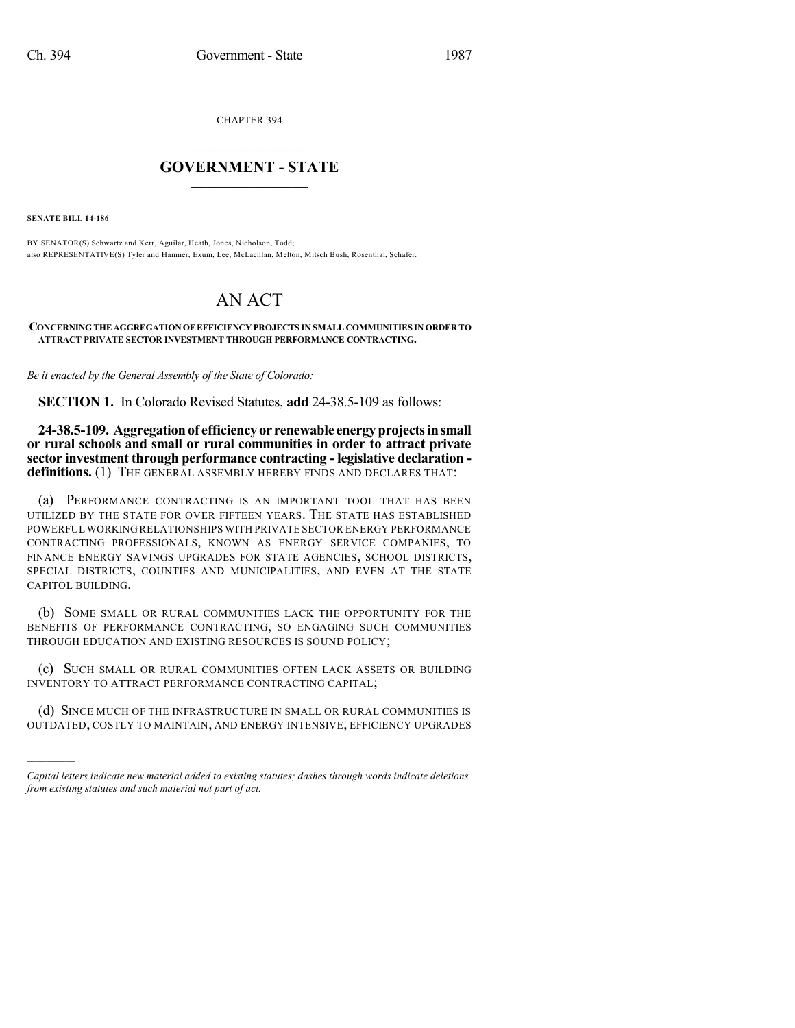CHAPTER 394

## $\overline{\phantom{a}}$  . The set of the set of the set of the set of the set of the set of the set of the set of the set of the set of the set of the set of the set of the set of the set of the set of the set of the set of the set o **GOVERNMENT - STATE**  $\_$

**SENATE BILL 14-186**

)))))

BY SENATOR(S) Schwartz and Kerr, Aguilar, Heath, Jones, Nicholson, Todd; also REPRESENTATIVE(S) Tyler and Hamner, Exum, Lee, McLachlan, Melton, Mitsch Bush, Rosenthal, Schafer.

## AN ACT

**CONCERNINGTHEAGGREGATIONOFEFFICIENCY PROJECTS IN SMALL COMMUNITIES INORDERTO ATTRACT PRIVATE SECTOR INVESTMENT THROUGH PERFORMANCE CONTRACTING.**

*Be it enacted by the General Assembly of the State of Colorado:*

**SECTION 1.** In Colorado Revised Statutes, **add** 24-38.5-109 as follows:

**24-38.5-109. Aggregationof efficiency or renewable energyprojectsinsmall or rural schools and small or rural communities in order to attract private sector investment through performance contracting - legislative declaration**  definitions. (1) THE GENERAL ASSEMBLY HEREBY FINDS AND DECLARES THAT:

(a) PERFORMANCE CONTRACTING IS AN IMPORTANT TOOL THAT HAS BEEN UTILIZED BY THE STATE FOR OVER FIFTEEN YEARS. THE STATE HAS ESTABLISHED POWERFUL WORKING RELATIONSHIPS WITH PRIVATE SECTOR ENERGY PERFORMANCE CONTRACTING PROFESSIONALS, KNOWN AS ENERGY SERVICE COMPANIES, TO FINANCE ENERGY SAVINGS UPGRADES FOR STATE AGENCIES, SCHOOL DISTRICTS, SPECIAL DISTRICTS, COUNTIES AND MUNICIPALITIES, AND EVEN AT THE STATE CAPITOL BUILDING.

(b) SOME SMALL OR RURAL COMMUNITIES LACK THE OPPORTUNITY FOR THE BENEFITS OF PERFORMANCE CONTRACTING, SO ENGAGING SUCH COMMUNITIES THROUGH EDUCATION AND EXISTING RESOURCES IS SOUND POLICY;

(c) SUCH SMALL OR RURAL COMMUNITIES OFTEN LACK ASSETS OR BUILDING INVENTORY TO ATTRACT PERFORMANCE CONTRACTING CAPITAL;

(d) SINCE MUCH OF THE INFRASTRUCTURE IN SMALL OR RURAL COMMUNITIES IS OUTDATED, COSTLY TO MAINTAIN, AND ENERGY INTENSIVE, EFFICIENCY UPGRADES

*Capital letters indicate new material added to existing statutes; dashes through words indicate deletions from existing statutes and such material not part of act.*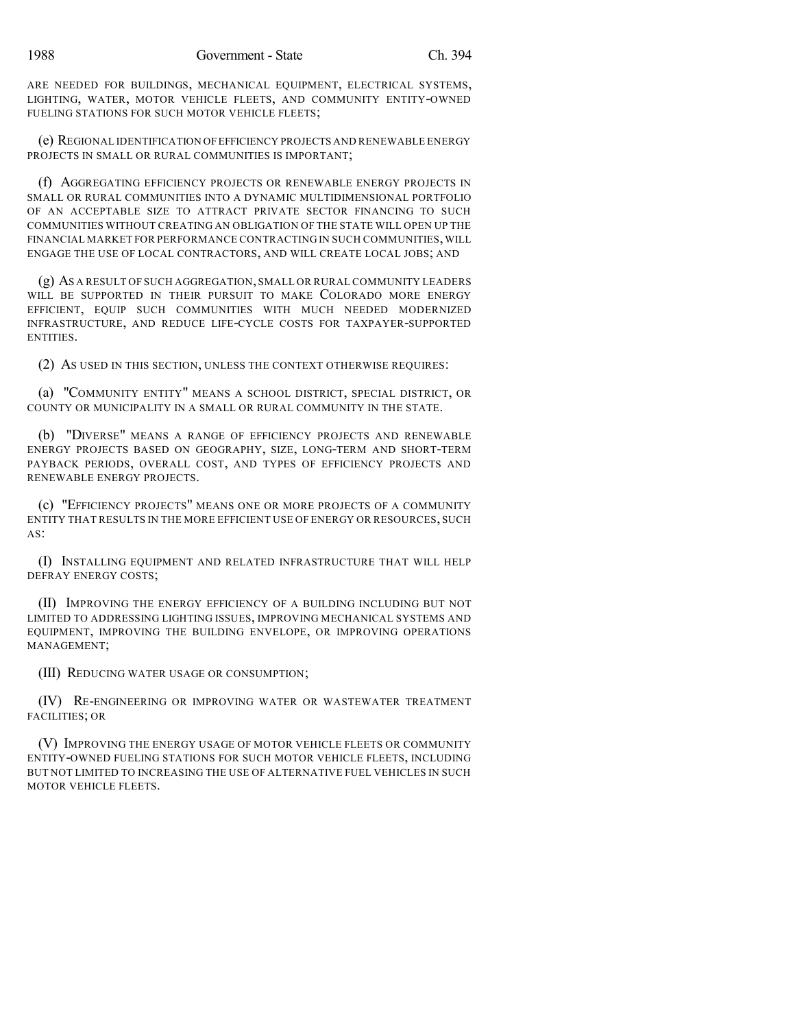ARE NEEDED FOR BUILDINGS, MECHANICAL EQUIPMENT, ELECTRICAL SYSTEMS, LIGHTING, WATER, MOTOR VEHICLE FLEETS, AND COMMUNITY ENTITY-OWNED FUELING STATIONS FOR SUCH MOTOR VEHICLE FLEETS;

(e) REGIONAL IDENTIFICATION OFEFFICIENCY PROJECTS AND RENEWABLE ENERGY PROJECTS IN SMALL OR RURAL COMMUNITIES IS IMPORTANT;

(f) AGGREGATING EFFICIENCY PROJECTS OR RENEWABLE ENERGY PROJECTS IN SMALL OR RURAL COMMUNITIES INTO A DYNAMIC MULTIDIMENSIONAL PORTFOLIO OF AN ACCEPTABLE SIZE TO ATTRACT PRIVATE SECTOR FINANCING TO SUCH COMMUNITIES WITHOUT CREATING AN OBLIGATION OF THE STATE WILL OPEN UP THE FINANCIAL MARKET FOR PERFORMANCE CONTRACTING IN SUCH COMMUNITIES, WILL ENGAGE THE USE OF LOCAL CONTRACTORS, AND WILL CREATE LOCAL JOBS; AND

(g) AS A RESULT OF SUCH AGGREGATION, SMALL OR RURAL COMMUNITY LEADERS WILL BE SUPPORTED IN THEIR PURSUIT TO MAKE COLORADO MORE ENERGY EFFICIENT, EQUIP SUCH COMMUNITIES WITH MUCH NEEDED MODERNIZED INFRASTRUCTURE, AND REDUCE LIFE-CYCLE COSTS FOR TAXPAYER-SUPPORTED ENTITIES.

(2) AS USED IN THIS SECTION, UNLESS THE CONTEXT OTHERWISE REQUIRES:

(a) "COMMUNITY ENTITY" MEANS A SCHOOL DISTRICT, SPECIAL DISTRICT, OR COUNTY OR MUNICIPALITY IN A SMALL OR RURAL COMMUNITY IN THE STATE.

(b) "DIVERSE" MEANS A RANGE OF EFFICIENCY PROJECTS AND RENEWABLE ENERGY PROJECTS BASED ON GEOGRAPHY, SIZE, LONG-TERM AND SHORT-TERM PAYBACK PERIODS, OVERALL COST, AND TYPES OF EFFICIENCY PROJECTS AND RENEWABLE ENERGY PROJECTS.

(c) "EFFICIENCY PROJECTS" MEANS ONE OR MORE PROJECTS OF A COMMUNITY ENTITY THAT RESULTS IN THE MORE EFFICIENT USE OF ENERGY OR RESOURCES, SUCH AS:

(I) INSTALLING EQUIPMENT AND RELATED INFRASTRUCTURE THAT WILL HELP DEFRAY ENERGY COSTS;

(II) IMPROVING THE ENERGY EFFICIENCY OF A BUILDING INCLUDING BUT NOT LIMITED TO ADDRESSING LIGHTING ISSUES, IMPROVING MECHANICAL SYSTEMS AND EQUIPMENT, IMPROVING THE BUILDING ENVELOPE, OR IMPROVING OPERATIONS MANAGEMENT;

(III) REDUCING WATER USAGE OR CONSUMPTION;

(IV) RE-ENGINEERING OR IMPROVING WATER OR WASTEWATER TREATMENT FACILITIES; OR

(V) IMPROVING THE ENERGY USAGE OF MOTOR VEHICLE FLEETS OR COMMUNITY ENTITY-OWNED FUELING STATIONS FOR SUCH MOTOR VEHICLE FLEETS, INCLUDING BUT NOT LIMITED TO INCREASING THE USE OF ALTERNATIVE FUEL VEHICLES IN SUCH MOTOR VEHICLE FLEETS.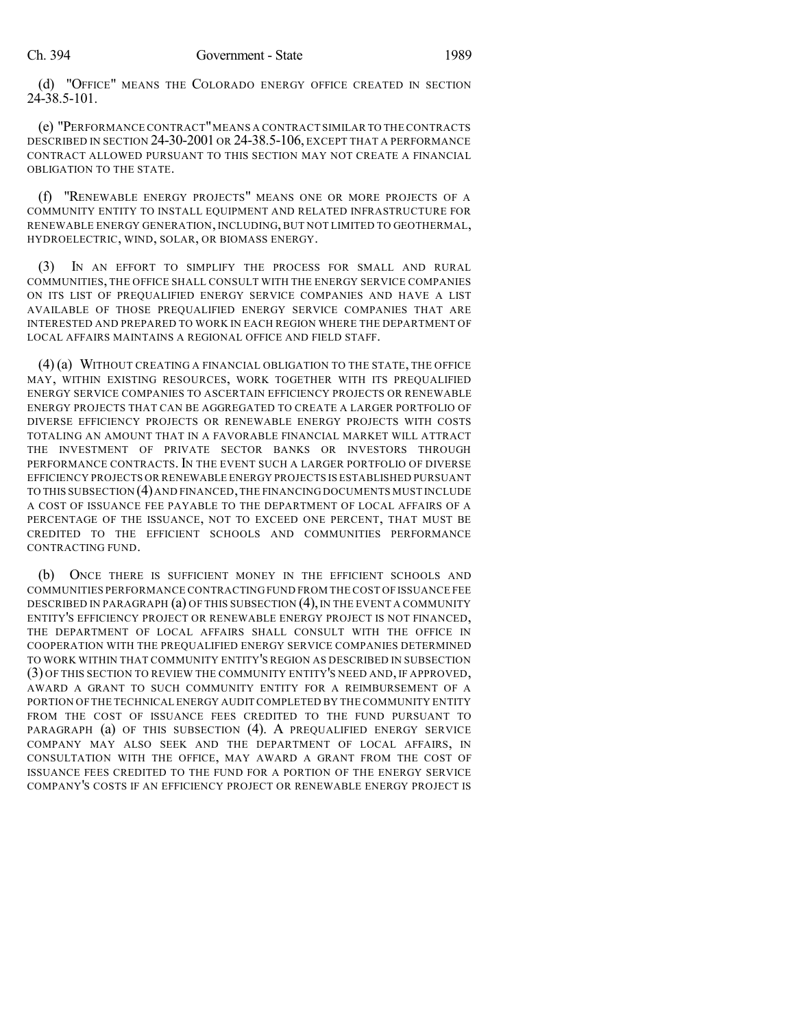(d) "OFFICE" MEANS THE COLORADO ENERGY OFFICE CREATED IN SECTION 24-38.5-101.

(e) "PERFORMANCE CONTRACT"MEANS A CONTRACT SIMILAR TO THE CONTRACTS DESCRIBED IN SECTION 24-30-2001 OR 24-38.5-106, EXCEPT THAT A PERFORMANCE CONTRACT ALLOWED PURSUANT TO THIS SECTION MAY NOT CREATE A FINANCIAL OBLIGATION TO THE STATE.

(f) "RENEWABLE ENERGY PROJECTS" MEANS ONE OR MORE PROJECTS OF A COMMUNITY ENTITY TO INSTALL EQUIPMENT AND RELATED INFRASTRUCTURE FOR RENEWABLE ENERGY GENERATION, INCLUDING, BUT NOT LIMITED TO GEOTHERMAL, HYDROELECTRIC, WIND, SOLAR, OR BIOMASS ENERGY.

(3) IN AN EFFORT TO SIMPLIFY THE PROCESS FOR SMALL AND RURAL COMMUNITIES, THE OFFICE SHALL CONSULT WITH THE ENERGY SERVICE COMPANIES ON ITS LIST OF PREQUALIFIED ENERGY SERVICE COMPANIES AND HAVE A LIST AVAILABLE OF THOSE PREQUALIFIED ENERGY SERVICE COMPANIES THAT ARE INTERESTED AND PREPARED TO WORK IN EACH REGION WHERE THE DEPARTMENT OF LOCAL AFFAIRS MAINTAINS A REGIONAL OFFICE AND FIELD STAFF.

(4) (a) WITHOUT CREATING A FINANCIAL OBLIGATION TO THE STATE, THE OFFICE MAY, WITHIN EXISTING RESOURCES, WORK TOGETHER WITH ITS PREQUALIFIED ENERGY SERVICE COMPANIES TO ASCERTAIN EFFICIENCY PROJECTS OR RENEWABLE ENERGY PROJECTS THAT CAN BE AGGREGATED TO CREATE A LARGER PORTFOLIO OF DIVERSE EFFICIENCY PROJECTS OR RENEWABLE ENERGY PROJECTS WITH COSTS TOTALING AN AMOUNT THAT IN A FAVORABLE FINANCIAL MARKET WILL ATTRACT THE INVESTMENT OF PRIVATE SECTOR BANKS OR INVESTORS THROUGH PERFORMANCE CONTRACTS. IN THE EVENT SUCH A LARGER PORTFOLIO OF DIVERSE EFFICIENCY PROJECTS OR RENEWABLE ENERGY PROJECTS IS ESTABLISHED PURSUANT TO THIS SUBSECTION (4)AND FINANCED,THE FINANCING DOCUMENTS MUST INCLUDE A COST OF ISSUANCE FEE PAYABLE TO THE DEPARTMENT OF LOCAL AFFAIRS OF A PERCENTAGE OF THE ISSUANCE, NOT TO EXCEED ONE PERCENT, THAT MUST BE CREDITED TO THE EFFICIENT SCHOOLS AND COMMUNITIES PERFORMANCE CONTRACTING FUND.

(b) ONCE THERE IS SUFFICIENT MONEY IN THE EFFICIENT SCHOOLS AND COMMUNITIES PERFORMANCE CONTRACTING FUND FROM THE COST OF ISSUANCE FEE DESCRIBED IN PARAGRAPH  $(a)$  OF THIS SUBSECTION  $(4)$ , IN THE EVENT A COMMUNITY ENTITY'S EFFICIENCY PROJECT OR RENEWABLE ENERGY PROJECT IS NOT FINANCED, THE DEPARTMENT OF LOCAL AFFAIRS SHALL CONSULT WITH THE OFFICE IN COOPERATION WITH THE PREQUALIFIED ENERGY SERVICE COMPANIES DETERMINED TO WORK WITHIN THAT COMMUNITY ENTITY'S REGION AS DESCRIBED IN SUBSECTION (3) OF THIS SECTION TO REVIEW THE COMMUNITY ENTITY'S NEED AND, IF APPROVED, AWARD A GRANT TO SUCH COMMUNITY ENTITY FOR A REIMBURSEMENT OF A PORTION OF THE TECHNICAL ENERGY AUDIT COMPLETED BY THE COMMUNITY ENTITY FROM THE COST OF ISSUANCE FEES CREDITED TO THE FUND PURSUANT TO PARAGRAPH (a) OF THIS SUBSECTION (4). A PREQUALIFIED ENERGY SERVICE COMPANY MAY ALSO SEEK AND THE DEPARTMENT OF LOCAL AFFAIRS, IN CONSULTATION WITH THE OFFICE, MAY AWARD A GRANT FROM THE COST OF ISSUANCE FEES CREDITED TO THE FUND FOR A PORTION OF THE ENERGY SERVICE COMPANY'S COSTS IF AN EFFICIENCY PROJECT OR RENEWABLE ENERGY PROJECT IS